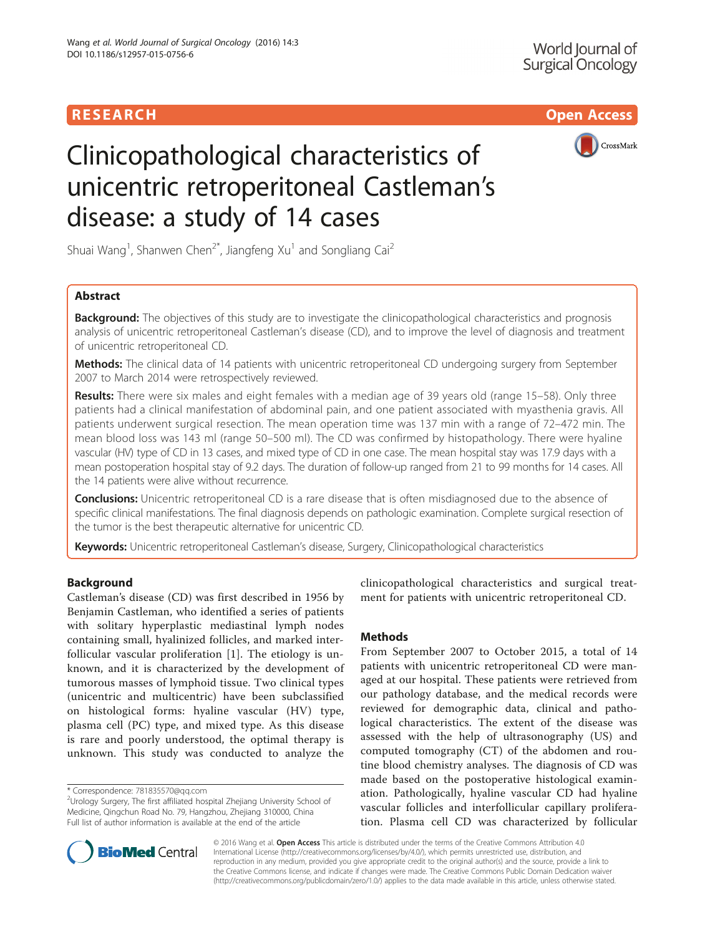# **RESEARCH CHILD CONTROL** CONTROL CONTROL CONTROL CONTROL CONTROL CONTROL CONTROL CONTROL CONTROL CONTROL CONTROL



# Clinicopathological characteristics of unicentric retroperitoneal Castleman's disease: a study of 14 cases

Shuai Wang<sup>1</sup>, Shanwen Chen<sup>2\*</sup>, Jiangfeng Xu<sup>1</sup> and Songliang Cai<sup>2</sup>

# Abstract

**Background:** The objectives of this study are to investigate the clinicopathological characteristics and prognosis analysis of unicentric retroperitoneal Castleman's disease (CD), and to improve the level of diagnosis and treatment of unicentric retroperitoneal CD.

Methods: The clinical data of 14 patients with unicentric retroperitoneal CD undergoing surgery from September 2007 to March 2014 were retrospectively reviewed.

Results: There were six males and eight females with a median age of 39 years old (range 15–58). Only three patients had a clinical manifestation of abdominal pain, and one patient associated with myasthenia gravis. All patients underwent surgical resection. The mean operation time was 137 min with a range of 72–472 min. The mean blood loss was 143 ml (range 50–500 ml). The CD was confirmed by histopathology. There were hyaline vascular (HV) type of CD in 13 cases, and mixed type of CD in one case. The mean hospital stay was 17.9 days with a mean postoperation hospital stay of 9.2 days. The duration of follow-up ranged from 21 to 99 months for 14 cases. All the 14 patients were alive without recurrence.

**Conclusions:** Unicentric retroperitoneal CD is a rare disease that is often misdiagnosed due to the absence of specific clinical manifestations. The final diagnosis depends on pathologic examination. Complete surgical resection of the tumor is the best therapeutic alternative for unicentric CD.

Keywords: Unicentric retroperitoneal Castleman's disease, Surgery, Clinicopathological characteristics

# Background

Castleman's disease (CD) was first described in 1956 by Benjamin Castleman, who identified a series of patients with solitary hyperplastic mediastinal lymph nodes containing small, hyalinized follicles, and marked interfollicular vascular proliferation [[1\]](#page-3-0). The etiology is unknown, and it is characterized by the development of tumorous masses of lymphoid tissue. Two clinical types (unicentric and multicentric) have been subclassified on histological forms: hyaline vascular (HV) type, plasma cell (PC) type, and mixed type. As this disease is rare and poorly understood, the optimal therapy is unknown. This study was conducted to analyze the

\* Correspondence: [781835570@qq.com](mailto:781835570@qq.com) <sup>2</sup>

clinicopathological characteristics and surgical treatment for patients with unicentric retroperitoneal CD.

# **Methods**

From September 2007 to October 2015, a total of 14 patients with unicentric retroperitoneal CD were managed at our hospital. These patients were retrieved from our pathology database, and the medical records were reviewed for demographic data, clinical and pathological characteristics. The extent of the disease was assessed with the help of ultrasonography (US) and computed tomography (CT) of the abdomen and routine blood chemistry analyses. The diagnosis of CD was made based on the postoperative histological examination. Pathologically, hyaline vascular CD had hyaline vascular follicles and interfollicular capillary proliferation. Plasma cell CD was characterized by follicular



© 2016 Wang et al. Open Access This article is distributed under the terms of the Creative Commons Attribution 4.0 International License [\(http://creativecommons.org/licenses/by/4.0/](http://creativecommons.org/licenses/by/4.0/)), which permits unrestricted use, distribution, and reproduction in any medium, provided you give appropriate credit to the original author(s) and the source, provide a link to the Creative Commons license, and indicate if changes were made. The Creative Commons Public Domain Dedication waiver [\(http://creativecommons.org/publicdomain/zero/1.0/](http://creativecommons.org/publicdomain/zero/1.0/)) applies to the data made available in this article, unless otherwise stated.

 $2$ Urology Surgery, The first affiliated hospital Zhejiang University School of Medicine, Qingchun Road No. 79, Hangzhou, Zhejiang 310000, China Full list of author information is available at the end of the article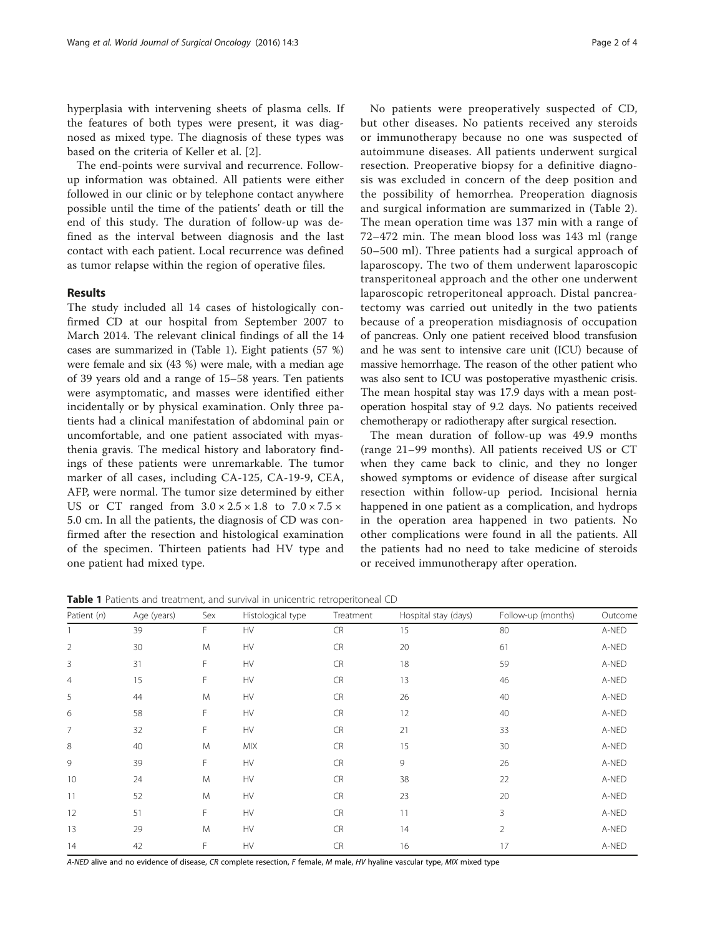hyperplasia with intervening sheets of plasma cells. If the features of both types were present, it was diagnosed as mixed type. The diagnosis of these types was based on the criteria of Keller et al. [\[2](#page-3-0)].

The end-points were survival and recurrence. Followup information was obtained. All patients were either followed in our clinic or by telephone contact anywhere possible until the time of the patients' death or till the end of this study. The duration of follow-up was defined as the interval between diagnosis and the last contact with each patient. Local recurrence was defined as tumor relapse within the region of operative files.

## Results

The study included all 14 cases of histologically confirmed CD at our hospital from September 2007 to March 2014. The relevant clinical findings of all the 14 cases are summarized in (Table 1). Eight patients (57 %) were female and six (43 %) were male, with a median age of 39 years old and a range of 15–58 years. Ten patients were asymptomatic, and masses were identified either incidentally or by physical examination. Only three patients had a clinical manifestation of abdominal pain or uncomfortable, and one patient associated with myasthenia gravis. The medical history and laboratory findings of these patients were unremarkable. The tumor marker of all cases, including CA-125, CA-19-9, CEA, AFP, were normal. The tumor size determined by either US or CT ranged from  $3.0 \times 2.5 \times 1.8$  to  $7.0 \times 7.5 \times$ 5.0 cm. In all the patients, the diagnosis of CD was confirmed after the resection and histological examination of the specimen. Thirteen patients had HV type and one patient had mixed type.

No patients were preoperatively suspected of CD, but other diseases. No patients received any steroids or immunotherapy because no one was suspected of autoimmune diseases. All patients underwent surgical resection. Preoperative biopsy for a definitive diagnosis was excluded in concern of the deep position and the possibility of hemorrhea. Preoperation diagnosis and surgical information are summarized in (Table [2](#page-2-0)). The mean operation time was 137 min with a range of 72–472 min. The mean blood loss was 143 ml (range 50–500 ml). Three patients had a surgical approach of laparoscopy. The two of them underwent laparoscopic transperitoneal approach and the other one underwent laparoscopic retroperitoneal approach. Distal pancreatectomy was carried out unitedly in the two patients because of a preoperation misdiagnosis of occupation of pancreas. Only one patient received blood transfusion and he was sent to intensive care unit (ICU) because of massive hemorrhage. The reason of the other patient who was also sent to ICU was postoperative myasthenic crisis. The mean hospital stay was 17.9 days with a mean postoperation hospital stay of 9.2 days. No patients received chemotherapy or radiotherapy after surgical resection.

The mean duration of follow-up was 49.9 months (range 21–99 months). All patients received US or CT when they came back to clinic, and they no longer showed symptoms or evidence of disease after surgical resection within follow-up period. Incisional hernia happened in one patient as a complication, and hydrops in the operation area happened in two patients. No other complications were found in all the patients. All the patients had no need to take medicine of steroids or received immunotherapy after operation.

Table 1 Patients and treatment, and survival in unicentric retroperitoneal CD

| Patient $(n)$  | Age (years) | Sex | Histological type | Treatment | Hospital stay (days) | Follow-up (months) | Outcome |
|----------------|-------------|-----|-------------------|-----------|----------------------|--------------------|---------|
|                | 39          | F   | HV                | <b>CR</b> | 15                   | 80                 | A-NED   |
| $\overline{2}$ | 30          | M   | <b>HV</b>         | <b>CR</b> | 20                   | 61                 | A-NED   |
| 3              | 31          | F   | <b>HV</b>         | CR        | 18                   | 59                 | A-NED   |
| $\overline{4}$ | 15          | F   | <b>HV</b>         | <b>CR</b> | 13                   | 46                 | A-NED   |
| 5              | 44          | M   | <b>HV</b>         | <b>CR</b> | 26                   | 40                 | A-NED   |
| 6              | 58          | F   | <b>HV</b>         | CR        | 12                   | 40                 | A-NED   |
| 7              | 32          | F   | HV                | CR        | 21                   | 33                 | A-NED   |
| 8              | 40          | M   | <b>MIX</b>        | CR        | 15                   | 30                 | A-NED   |
| 9              | 39          | F   | <b>HV</b>         | <b>CR</b> | 9                    | 26                 | A-NED   |
| 10             | 24          | M   | <b>HV</b>         | CR        | 38                   | 22                 | A-NED   |
| 11             | 52          | M   | HV                | CR        | 23                   | 20                 | A-NED   |
| 12             | 51          | F   | <b>HV</b>         | CR        | 11                   | 3                  | A-NED   |
| 13             | 29          | M   | <b>HV</b>         | CR        | 14                   | $\overline{2}$     | A-NED   |
| 14             | 42          | F   | <b>HV</b>         | <b>CR</b> | 16                   | 17                 | A-NED   |

A-NED alive and no evidence of disease, CR complete resection, F female, M male, HV hyaline vascular type, MIX mixed type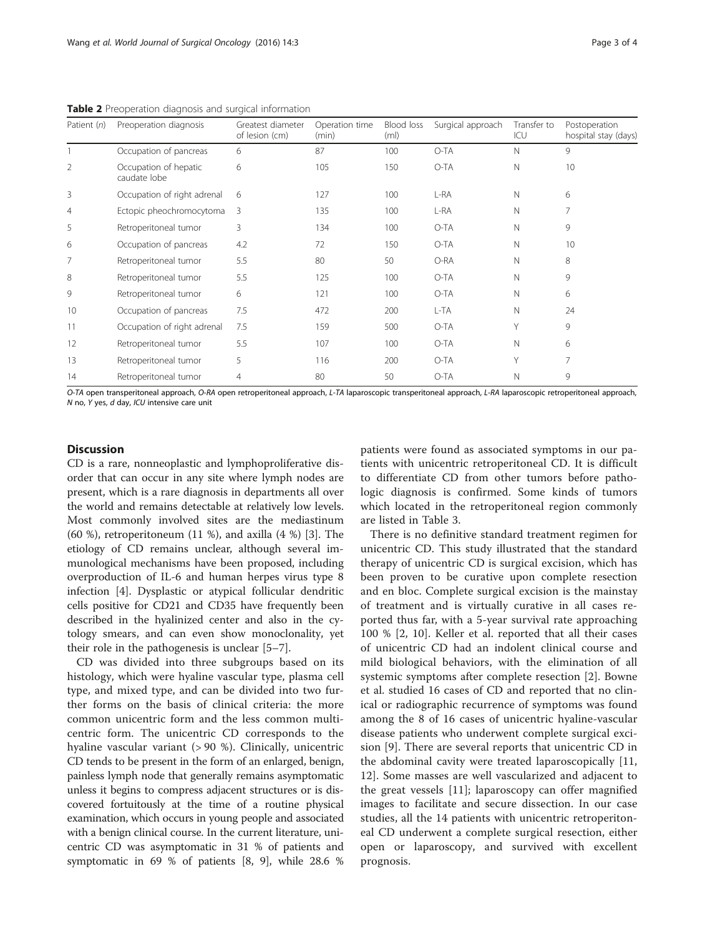| Patient (n)    | Preoperation diagnosis                | Greatest diameter<br>of lesion (cm) | Operation time<br>(min) | Blood loss<br>(m <sub>l</sub> ) | Surgical approach | Transfer to<br>ICU | Postoperation<br>hospital stay (days) |
|----------------|---------------------------------------|-------------------------------------|-------------------------|---------------------------------|-------------------|--------------------|---------------------------------------|
|                | Occupation of pancreas                | 6                                   | 87                      | 100                             | $O-TA$            | $\mathbb N$        | 9                                     |
| $\overline{2}$ | Occupation of hepatic<br>caudate lobe | 6                                   | 105                     | 150                             | O-TA              | N                  | 10                                    |
| 3              | Occupation of right adrenal           | 6                                   | 127                     | 100                             | L-RA              | $\mathbb N$        | 6                                     |
| 4              | Ectopic pheochromocytoma              | 3                                   | 135                     | 100                             | L-RA              | N                  | 7                                     |
| 5              | Retroperitoneal tumor                 | 3                                   | 134                     | 100                             | O-TA              | N                  | 9                                     |
| 6              | Occupation of pancreas                | 4.2                                 | 72                      | 150                             | O-TA              | $\mathbb N$        | 10                                    |
| 7              | Retroperitoneal tumor                 | 5.5                                 | 80                      | 50                              | O-RA              | N                  | 8                                     |
| 8              | Retroperitoneal tumor                 | 5.5                                 | 125                     | 100                             | O-TA              | N                  | 9                                     |
| 9              | Retroperitoneal tumor                 | 6                                   | 121                     | 100                             | O-TA              | N                  | 6                                     |
| 10             | Occupation of pancreas                | 7.5                                 | 472                     | 200                             | L-TA              | N                  | 24                                    |
| 11             | Occupation of right adrenal           | 7.5                                 | 159                     | 500                             | O-TA              | Υ                  | 9                                     |
| 12             | Retroperitoneal tumor                 | 5.5                                 | 107                     | 100                             | O-TA              | N                  | 6                                     |
| 13             | Retroperitoneal tumor                 | 5                                   | 116                     | 200                             | O-TA              | Υ                  | 7                                     |
| 14             | Retroperitoneal tumor                 | 4                                   | 80                      | 50                              | O-TA              | N                  | 9                                     |

<span id="page-2-0"></span>Table 2 Preoperation diagnosis and surgical information

O-TA open transperitoneal approach, O-RA open retroperitoneal approach, L-TA laparoscopic transperitoneal approach, L-RA laparoscopic retroperitoneal approach, N no, Y yes, d day, ICU intensive care unit

# **Discussion**

CD is a rare, nonneoplastic and lymphoproliferative disorder that can occur in any site where lymph nodes are present, which is a rare diagnosis in departments all over the world and remains detectable at relatively low levels. Most commonly involved sites are the mediastinum (60 %), retroperitoneum (11 %), and axilla (4 %) [[3\]](#page-3-0). The etiology of CD remains unclear, although several immunological mechanisms have been proposed, including overproduction of IL-6 and human herpes virus type 8 infection [[4\]](#page-3-0). Dysplastic or atypical follicular dendritic cells positive for CD21 and CD35 have frequently been described in the hyalinized center and also in the cytology smears, and can even show monoclonality, yet their role in the pathogenesis is unclear [[5](#page-3-0)–[7\]](#page-3-0).

CD was divided into three subgroups based on its histology, which were hyaline vascular type, plasma cell type, and mixed type, and can be divided into two further forms on the basis of clinical criteria: the more common unicentric form and the less common multicentric form. The unicentric CD corresponds to the hyaline vascular variant (> 90 %). Clinically, unicentric CD tends to be present in the form of an enlarged, benign, painless lymph node that generally remains asymptomatic unless it begins to compress adjacent structures or is discovered fortuitously at the time of a routine physical examination, which occurs in young people and associated with a benign clinical course. In the current literature, unicentric CD was asymptomatic in 31 % of patients and symptomatic in 69 % of patients [\[8](#page-3-0), [9\]](#page-3-0), while 28.6 % patients were found as associated symptoms in our patients with unicentric retroperitoneal CD. It is difficult to differentiate CD from other tumors before pathologic diagnosis is confirmed. Some kinds of tumors which located in the retroperitoneal region commonly are listed in Table [3](#page-3-0).

There is no definitive standard treatment regimen for unicentric CD. This study illustrated that the standard therapy of unicentric CD is surgical excision, which has been proven to be curative upon complete resection and en bloc. Complete surgical excision is the mainstay of treatment and is virtually curative in all cases reported thus far, with a 5-year survival rate approaching 100 % [\[2](#page-3-0), [10](#page-3-0)]. Keller et al. reported that all their cases of unicentric CD had an indolent clinical course and mild biological behaviors, with the elimination of all systemic symptoms after complete resection [[2\]](#page-3-0). Bowne et al. studied 16 cases of CD and reported that no clinical or radiographic recurrence of symptoms was found among the 8 of 16 cases of unicentric hyaline-vascular disease patients who underwent complete surgical excision [\[9](#page-3-0)]. There are several reports that unicentric CD in the abdominal cavity were treated laparoscopically [\[11](#page-3-0), [12\]](#page-3-0). Some masses are well vascularized and adjacent to the great vessels [\[11](#page-3-0)]; laparoscopy can offer magnified images to facilitate and secure dissection. In our case studies, all the 14 patients with unicentric retroperitoneal CD underwent a complete surgical resection, either open or laparoscopy, and survived with excellent prognosis.